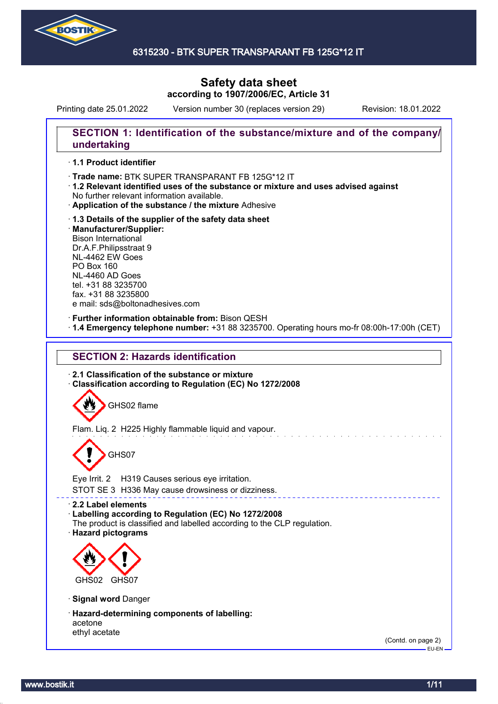

### 6315230 - BTK SUPER TRANSPARANT FB 125G\*12 IT

# **Safety data sheet according to 1907/2006/EC, Article 31**

Printing date 25.01.2022 Version number 30 (replaces version 29) Revision: 18.01.2022

# **SECTION 1: Identification of the substance/mixture and of the company/ undertaking**

### · **1.1 Product identifier**

- · Trade name: BTK SUPER TRANSPARANT FB 125G\*12 IT
- · **1.2 Relevant identified uses of the substance or mixture and uses advised against** No further relevant information available.
- · **Application of the substance / the mixture** Adhesive
- · **1.3 Details of the supplier of the safety data sheet** · **Manufacturer/Supplier:** Bison International Dr.A.F.Philipsstraat 9 NL-4462 EW Goes PO Box 160 NL-4460 AD Goes tel. +31 88 3235700 fax. +31 88 3235800 e mail: sds@boltonadhesives.com

#### · **Further information obtainable from:** Bison QESH

· **1.4 Emergency telephone number:** +31 88 3235700. Operating hours mo-fr 08:00h-17:00h (CET)

# **SECTION 2: Hazards identification**

· **2.1 Classification of the substance or mixture** · **Classification according to Regulation (EC) No 1272/2008**

GHS02 flame

Flam. Liq. 2 H225 Highly flammable liquid and vapour.

# GHS07

Eye Irrit. 2 H319 Causes serious eye irritation.

STOT SE 3 H336 May cause drowsiness or dizziness.

· **2.2 Label elements**

- · **Labelling according to Regulation (EC) No 1272/2008**
- The product is classified and labelled according to the CLP regulation.
- · **Hazard pictograms**



- · **Signal word** Danger
- · **Hazard-determining components of labelling:** acetone ethyl acetate

(Contd. on page 2) EU-EN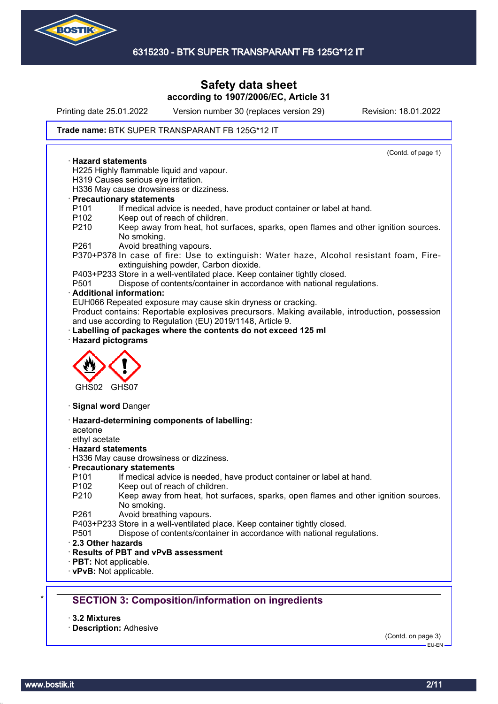

Printing date 25.01.2022 Version number 30 (replaces version 29) Revision: 18.01.2022

#### Trade name: BTK SUPER TRANSPARANT FB 125G\*12 IT

(Contd. of page 1) · **Hazard statements** H225 Highly flammable liquid and vapour. H319 Causes serious eye irritation. H336 May cause drowsiness or dizziness. · **Precautionary statements** P101 If medical advice is needed, have product container or label at hand. P102 Keep out of reach of children. P210 Keep away from heat, hot surfaces, sparks, open flames and other ignition sources. No smoking. P261 Avoid breathing vapours. P370+P378 In case of fire: Use to extinguish: Water haze, Alcohol resistant foam, Fireextinguishing powder, Carbon dioxide. P403+P233 Store in a well-ventilated place. Keep container tightly closed. P501 Dispose of contents/container in accordance with national regulations. · **Additional information:** EUH066 Repeated exposure may cause skin dryness or cracking. Product contains: Reportable explosives precursors. Making available, introduction, possession and use according to Regulation (EU) 2019/1148, Article 9. Labelling of packages where the contents do not exceed 125 ml · **Hazard pictograms** GHS02 GHS07 · **Signal word** Danger · **Hazard-determining components of labelling:** acetone ethyl acetate · **Hazard statements** H336 May cause drowsiness or dizziness. · **Precautionary statements** P101 If medical advice is needed, have product container or label at hand. P102 Keep out of reach of children. P210 Keep away from heat, hot surfaces, sparks, open flames and other ignition sources. No smoking. P261 Avoid breathing vapours. P403+P233 Store in a well-ventilated place. Keep container tightly closed. P501 Dispose of contents/container in accordance with national regulations. · **2.3 Other hazards** · **Results of PBT and vPvB assessment** · **PBT:** Not applicable. · **vPvB:** Not applicable. **SECTION 3: Composition/information on ingredients** 

· **3.2 Mixtures**

· **Description:** Adhesive

(Contd. on page 3)

EU-EN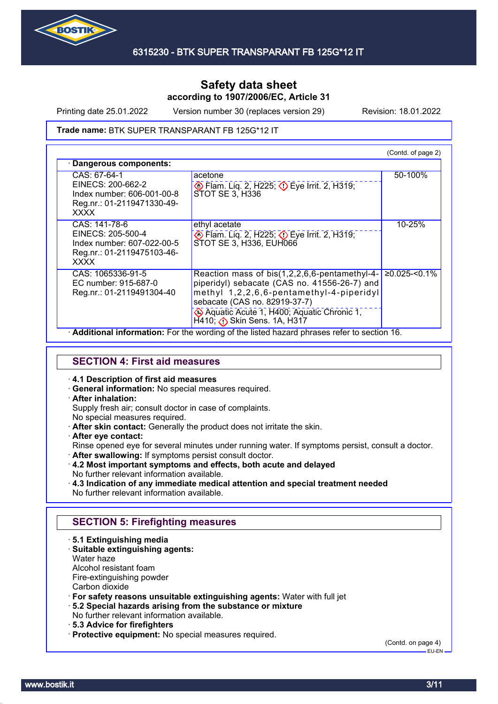

Printing date 25.01.2022 Version number 30 (replaces version 29) Revision: 18.01.2022

#### Trade name: BTK SUPER TRANSPARANT FB 125G\*12 IT

|                                                                                                               |                                                                                                                                                                                                                                                      | (Contd. of page 2) |
|---------------------------------------------------------------------------------------------------------------|------------------------------------------------------------------------------------------------------------------------------------------------------------------------------------------------------------------------------------------------------|--------------------|
| Dangerous components:                                                                                         |                                                                                                                                                                                                                                                      |                    |
| CAS: 67-64-1<br>EINECS: 200-662-2<br>Index number: 606-001-00-8<br>Reg.nr.: 01-2119471330-49-<br><b>XXXX</b>  | acetone<br>Eye Irrit. 2, H225; Deve Irrit. 2, H319;<br>STOT SE 3, H336                                                                                                                                                                               | 50-100%            |
| CAS: 141-78-6<br>EINECS: 205-500-4<br>Index number: 607-022-00-5<br>Reg.nr.: 01-2119475103-46-<br><b>XXXX</b> | ethyl acetate<br>$\diamondsuit$ Flam. Liq. 2, H225; $\diamondsuit$ Eye Irrit. 2, H319;<br>STOT SE 3, H336, EUH066                                                                                                                                    | 10-25%             |
| CAS: 1065336-91-5<br>EC number: 915-687-0<br>Reg.nr.: 01-2119491304-40                                        | Reaction mass of bis(1,2,2,6,6-pentamethyl-4-<br>piperidyl) sebacate (CAS no. 41556-26-7) and<br>methyl 1,2,2,6,6-pentamethyl-4-piperidyl<br>sebacate (CAS no. 82919-37-7)<br>Aquatic Acute 1, H400; Aquatic Chronic 1,<br>H410; Bkin Sens. 1A, H317 | $≥0.025$ -<0.1%    |

### **SECTION 4: First aid measures**

#### · **4.1 Description of first aid measures**

· **General information:** No special measures required.

### · **After inhalation:**

Supply fresh air; consult doctor in case of complaints.

- No special measures required.
- · **After skin contact:** Generally the product does not irritate the skin.
- · **After eye contact:**

Rinse opened eye for several minutes under running water. If symptoms persist, consult a doctor.

- · **After swallowing:** If symptoms persist consult doctor.
- · **4.2 Most important symptoms and effects, both acute and delayed**
- No further relevant information available. · **4.3 Indication of any immediate medical attention and special treatment needed**
- No further relevant information available.

# **SECTION 5: Firefighting measures**

- · **5.1 Extinguishing media**
- · **Suitable extinguishing agents:**
- Water haze
- Alcohol resistant foam
- Fire-extinguishing powder
- Carbon dioxide
- · **For safety reasons unsuitable extinguishing agents:** Water with full jet
- · **5.2 Special hazards arising from the substance or mixture**
- No further relevant information available.
- · **5.3 Advice for firefighters**
- · **Protective equipment:** No special measures required.

(Contd. on page 4)

 $-$ FH-FN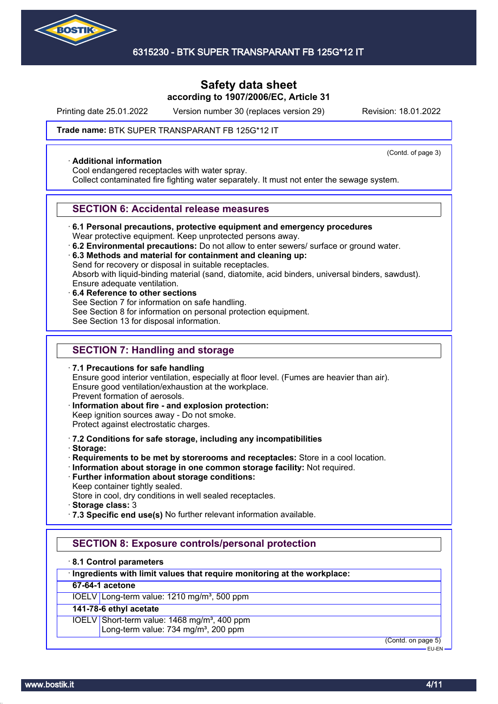

Printing date 25.01.2022 Version number 30 (replaces version 29) Revision: 18.01.2022

(Contd. of page 3)

#### Trade name: BTK SUPER TRANSPARANT FB 125G\*12 IT

#### · **Additional information**

Cool endangered receptacles with water spray.

Collect contaminated fire fighting water separately. It must not enter the sewage system.

### **SECTION 6: Accidental release measures**

· **6.1 Personal precautions, protective equipment and emergency procedures**

Wear protective equipment. Keep unprotected persons away.

- · **6.2 Environmental precautions:** Do not allow to enter sewers/ surface or ground water.
- · **6.3 Methods and material for containment and cleaning up:**

Send for recovery or disposal in suitable receptacles.

Absorb with liquid-binding material (sand, diatomite, acid binders, universal binders, sawdust).

- Ensure adequate ventilation.
- · **6.4 Reference to other sections** See Section 7 for information on safe handling. See Section 8 for information on personal protection equipment. See Section 13 for disposal information.

# **SECTION 7: Handling and storage**

· **7.1 Precautions for safe handling** Ensure good interior ventilation, especially at floor level. (Fumes are heavier than air). Ensure good ventilation/exhaustion at the workplace. Prevent formation of aerosols. · **Information about fire - and explosion protection:**

- Keep ignition sources away Do not smoke. Protect against electrostatic charges.
- · **7.2 Conditions for safe storage, including any incompatibilities**
- · **Storage:**
- · **Requirements to be met by storerooms and receptacles:** Store in a cool location.
- · **Information about storage in one common storage facility:** Not required.
- · **Further information about storage conditions:** Keep container tightly sealed.

Store in cool, dry conditions in well sealed receptacles.

- · **Storage class:** 3
- · **7.3 Specific end use(s)** No further relevant information available.

# **SECTION 8: Exposure controls/personal protection**

#### · **8.1 Control parameters**

### · **Ingredients with limit values that require monitoring at the workplace:**

### **67-64-1 acetone**

IOELV Long-term value: 1210 mg/m<sup>3</sup>, 500 ppm

# **141-78-6 ethyl acetate**

IOELV Short-term value: 1468 mg/m<sup>3</sup>, 400 ppm Long-term value: 734 mg/m<sup>3</sup>, 200 ppm

(Contd. on page 5)

EU-EN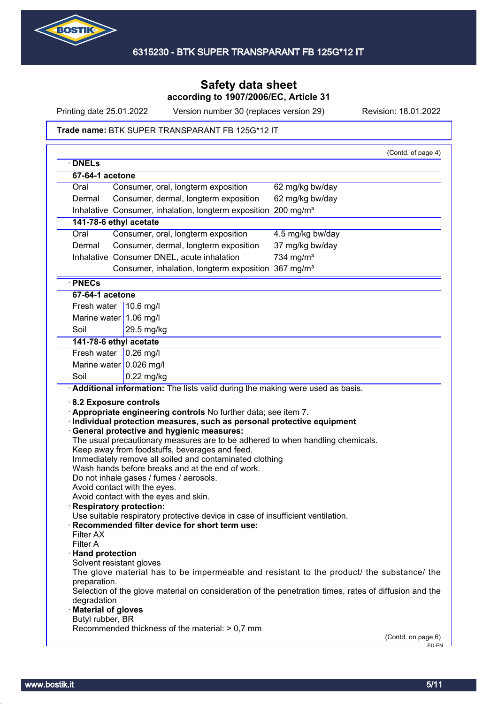

Printing date 25.01.2022 Version number 30 (replaces version 29) Revision: 18.01.2022

#### Trade name: BTK SUPER TRANSPARANT FB 125G\*12 IT

| Consumer, dermal, longterm exposition<br>62 mg/kg bw/day<br>Dermal<br>Inhalative Consumer, inhalation, longterm exposition<br>$200$ mg/m <sup>3</sup><br>141-78-6 ethyl acetate<br>Oral<br>Consumer, oral, longterm exposition<br>4.5 mg/kg bw/day<br>37 mg/kg bw/day<br>Dermal<br>Consumer, dermal, longterm exposition<br>Consumer DNEL, acute inhalation<br>734 mg/m <sup>3</sup><br>Inhalative<br>Consumer, inhalation, longterm exposition 367 mg/m <sup>3</sup><br>· PNECs<br>67-64-1 acetone<br>Fresh water<br>$10.6$ mg/<br>Marine water $1.06$ mg/l<br>Soil<br>29.5 mg/kg<br>141-78-6 ethyl acetate<br>Fresh water 0.26 mg/l<br>Marine water $0.026$ mg/l<br>Soil<br>$0.22$ mg/kg<br>Additional information: The lists valid during the making were used as basis.<br>$\cdot$ 8.2 Exposure controls<br>Appropriate engineering controls No further data; see item 7.<br>· Individual protection measures, such as personal protective equipment<br><b>General protective and hygienic measures:</b><br>The usual precautionary measures are to be adhered to when handling chemicals.<br>Keep away from foodstuffs, beverages and feed.<br>Immediately remove all soiled and contaminated clothing<br>Wash hands before breaks and at the end of work.<br>Do not inhale gases / fumes / aerosols.<br>Avoid contact with the eyes.<br>Avoid contact with the eyes and skin.<br><b>Respiratory protection:</b><br>Use suitable respiratory protective device in case of insufficient ventilation.<br>Recommended filter device for short term use:<br>Filter AX<br>Filter A<br>· Hand protection<br>Solvent resistant gloves<br>The glove material has to be impermeable and resistant to the product/ the substance/ the<br>preparation.<br>Selection of the glove material on consideration of the penetration times, rates of diffusion and the<br>degradation<br><b>Material of gloves</b><br>Butyl rubber, BR<br>Recommended thickness of the material: > 0,7 mm | Oral | Consumer, oral, longterm exposition | 62 mg/kg bw/day |  |
|------------------------------------------------------------------------------------------------------------------------------------------------------------------------------------------------------------------------------------------------------------------------------------------------------------------------------------------------------------------------------------------------------------------------------------------------------------------------------------------------------------------------------------------------------------------------------------------------------------------------------------------------------------------------------------------------------------------------------------------------------------------------------------------------------------------------------------------------------------------------------------------------------------------------------------------------------------------------------------------------------------------------------------------------------------------------------------------------------------------------------------------------------------------------------------------------------------------------------------------------------------------------------------------------------------------------------------------------------------------------------------------------------------------------------------------------------------------------------------------------------------------------------------------------------------------------------------------------------------------------------------------------------------------------------------------------------------------------------------------------------------------------------------------------------------------------------------------------------------------------------------------------------------------------------------------------------------------------------|------|-------------------------------------|-----------------|--|
|                                                                                                                                                                                                                                                                                                                                                                                                                                                                                                                                                                                                                                                                                                                                                                                                                                                                                                                                                                                                                                                                                                                                                                                                                                                                                                                                                                                                                                                                                                                                                                                                                                                                                                                                                                                                                                                                                                                                                                              |      |                                     |                 |  |
|                                                                                                                                                                                                                                                                                                                                                                                                                                                                                                                                                                                                                                                                                                                                                                                                                                                                                                                                                                                                                                                                                                                                                                                                                                                                                                                                                                                                                                                                                                                                                                                                                                                                                                                                                                                                                                                                                                                                                                              |      |                                     |                 |  |
|                                                                                                                                                                                                                                                                                                                                                                                                                                                                                                                                                                                                                                                                                                                                                                                                                                                                                                                                                                                                                                                                                                                                                                                                                                                                                                                                                                                                                                                                                                                                                                                                                                                                                                                                                                                                                                                                                                                                                                              |      |                                     |                 |  |
|                                                                                                                                                                                                                                                                                                                                                                                                                                                                                                                                                                                                                                                                                                                                                                                                                                                                                                                                                                                                                                                                                                                                                                                                                                                                                                                                                                                                                                                                                                                                                                                                                                                                                                                                                                                                                                                                                                                                                                              |      |                                     |                 |  |
|                                                                                                                                                                                                                                                                                                                                                                                                                                                                                                                                                                                                                                                                                                                                                                                                                                                                                                                                                                                                                                                                                                                                                                                                                                                                                                                                                                                                                                                                                                                                                                                                                                                                                                                                                                                                                                                                                                                                                                              |      |                                     |                 |  |
|                                                                                                                                                                                                                                                                                                                                                                                                                                                                                                                                                                                                                                                                                                                                                                                                                                                                                                                                                                                                                                                                                                                                                                                                                                                                                                                                                                                                                                                                                                                                                                                                                                                                                                                                                                                                                                                                                                                                                                              |      |                                     |                 |  |
|                                                                                                                                                                                                                                                                                                                                                                                                                                                                                                                                                                                                                                                                                                                                                                                                                                                                                                                                                                                                                                                                                                                                                                                                                                                                                                                                                                                                                                                                                                                                                                                                                                                                                                                                                                                                                                                                                                                                                                              |      |                                     |                 |  |
|                                                                                                                                                                                                                                                                                                                                                                                                                                                                                                                                                                                                                                                                                                                                                                                                                                                                                                                                                                                                                                                                                                                                                                                                                                                                                                                                                                                                                                                                                                                                                                                                                                                                                                                                                                                                                                                                                                                                                                              |      |                                     |                 |  |
|                                                                                                                                                                                                                                                                                                                                                                                                                                                                                                                                                                                                                                                                                                                                                                                                                                                                                                                                                                                                                                                                                                                                                                                                                                                                                                                                                                                                                                                                                                                                                                                                                                                                                                                                                                                                                                                                                                                                                                              |      |                                     |                 |  |
|                                                                                                                                                                                                                                                                                                                                                                                                                                                                                                                                                                                                                                                                                                                                                                                                                                                                                                                                                                                                                                                                                                                                                                                                                                                                                                                                                                                                                                                                                                                                                                                                                                                                                                                                                                                                                                                                                                                                                                              |      |                                     |                 |  |
|                                                                                                                                                                                                                                                                                                                                                                                                                                                                                                                                                                                                                                                                                                                                                                                                                                                                                                                                                                                                                                                                                                                                                                                                                                                                                                                                                                                                                                                                                                                                                                                                                                                                                                                                                                                                                                                                                                                                                                              |      |                                     |                 |  |
|                                                                                                                                                                                                                                                                                                                                                                                                                                                                                                                                                                                                                                                                                                                                                                                                                                                                                                                                                                                                                                                                                                                                                                                                                                                                                                                                                                                                                                                                                                                                                                                                                                                                                                                                                                                                                                                                                                                                                                              |      |                                     |                 |  |
|                                                                                                                                                                                                                                                                                                                                                                                                                                                                                                                                                                                                                                                                                                                                                                                                                                                                                                                                                                                                                                                                                                                                                                                                                                                                                                                                                                                                                                                                                                                                                                                                                                                                                                                                                                                                                                                                                                                                                                              |      |                                     |                 |  |
|                                                                                                                                                                                                                                                                                                                                                                                                                                                                                                                                                                                                                                                                                                                                                                                                                                                                                                                                                                                                                                                                                                                                                                                                                                                                                                                                                                                                                                                                                                                                                                                                                                                                                                                                                                                                                                                                                                                                                                              |      |                                     |                 |  |
|                                                                                                                                                                                                                                                                                                                                                                                                                                                                                                                                                                                                                                                                                                                                                                                                                                                                                                                                                                                                                                                                                                                                                                                                                                                                                                                                                                                                                                                                                                                                                                                                                                                                                                                                                                                                                                                                                                                                                                              |      |                                     |                 |  |
|                                                                                                                                                                                                                                                                                                                                                                                                                                                                                                                                                                                                                                                                                                                                                                                                                                                                                                                                                                                                                                                                                                                                                                                                                                                                                                                                                                                                                                                                                                                                                                                                                                                                                                                                                                                                                                                                                                                                                                              |      |                                     |                 |  |
|                                                                                                                                                                                                                                                                                                                                                                                                                                                                                                                                                                                                                                                                                                                                                                                                                                                                                                                                                                                                                                                                                                                                                                                                                                                                                                                                                                                                                                                                                                                                                                                                                                                                                                                                                                                                                                                                                                                                                                              |      |                                     |                 |  |
|                                                                                                                                                                                                                                                                                                                                                                                                                                                                                                                                                                                                                                                                                                                                                                                                                                                                                                                                                                                                                                                                                                                                                                                                                                                                                                                                                                                                                                                                                                                                                                                                                                                                                                                                                                                                                                                                                                                                                                              |      |                                     |                 |  |
| (Contd. on page 6)                                                                                                                                                                                                                                                                                                                                                                                                                                                                                                                                                                                                                                                                                                                                                                                                                                                                                                                                                                                                                                                                                                                                                                                                                                                                                                                                                                                                                                                                                                                                                                                                                                                                                                                                                                                                                                                                                                                                                           |      |                                     |                 |  |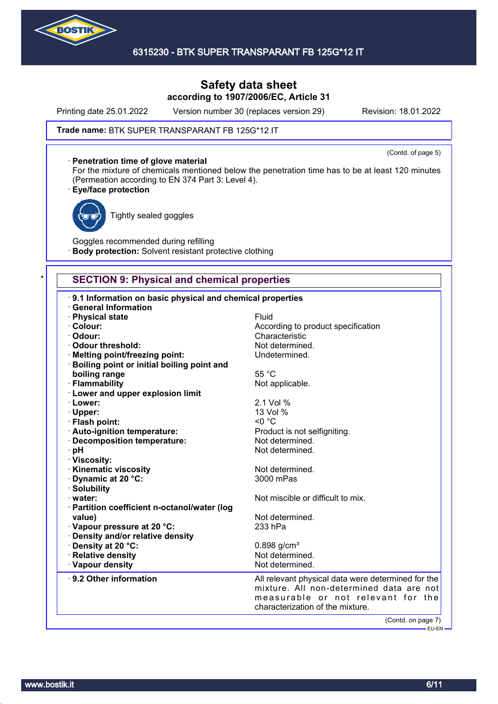

Printing date 25.01.2022 Version number 30 (replaces version 29) Revision: 18.01.2022

(Contd. of page 5)

#### Trade name: BTK SUPER TRANSPARANT FB 125G\*12 IT

#### · **Penetration time of glove material**

For the mixture of chemicals mentioned below the penetration time has to be at least 120 minutes (Permeation according to EN 374 Part 3: Level 4).

### · **Eye/face protection**



Tightly sealed goggles

Goggles recommended during refilling **Body protection:** Solvent resistant protective clothing

# **SECTION 9: Physical and chemical properties**

| 9.1 Information on basic physical and chemical properties                       |                                                    |
|---------------------------------------------------------------------------------|----------------------------------------------------|
| <b>General Information</b>                                                      | Fluid                                              |
| · Physical state<br>· Colour:                                                   | According to product specification                 |
| · Odour:                                                                        | Characteristic                                     |
| Odour threshold:                                                                | Not determined.                                    |
|                                                                                 | Undetermined.                                      |
| · Melting point/freezing point:<br>· Boiling point or initial boiling point and |                                                    |
| boiling range                                                                   | 55 °C                                              |
| · Flammability                                                                  | Not applicable.                                    |
| · Lower and upper explosion limit                                               |                                                    |
| · Lower:                                                                        | 2.1 Vol %                                          |
| · Upper:                                                                        | 13 Vol %                                           |
| · Flash point:                                                                  | $< 0$ °C                                           |
| · Auto-ignition temperature:                                                    | Product is not selfigniting.                       |
| · Decomposition temperature:                                                    | Not determined.                                    |
| · pH                                                                            | Not determined.                                    |
| · Viscosity:                                                                    |                                                    |
| · Kinematic viscosity                                                           | Not determined.                                    |
| Dynamic at 20 °C:                                                               | 3000 mPas                                          |
| · Solubility                                                                    |                                                    |
| water:                                                                          | Not miscible or difficult to mix.                  |
| · Partition coefficient n-octanol/water (log                                    |                                                    |
| value)                                                                          | Not determined.                                    |
| Vapour pressure at 20 °C:                                                       | 233 hPa                                            |
| · Density and/or relative density                                               |                                                    |
| · Density at 20 °C:                                                             | $0.898$ g/cm <sup>3</sup>                          |
| · Relative density                                                              | Not determined.                                    |
| · Vapour density                                                                | Not determined.                                    |
| 9.2 Other information                                                           | All relevant physical data were determined for the |
|                                                                                 | mixture. All non-determined data are not           |
|                                                                                 | measurable or not relevant for the                 |
|                                                                                 | characterization of the mixture.                   |
|                                                                                 |                                                    |
|                                                                                 | (Contd. on page 7)<br>————— EU-EN —                |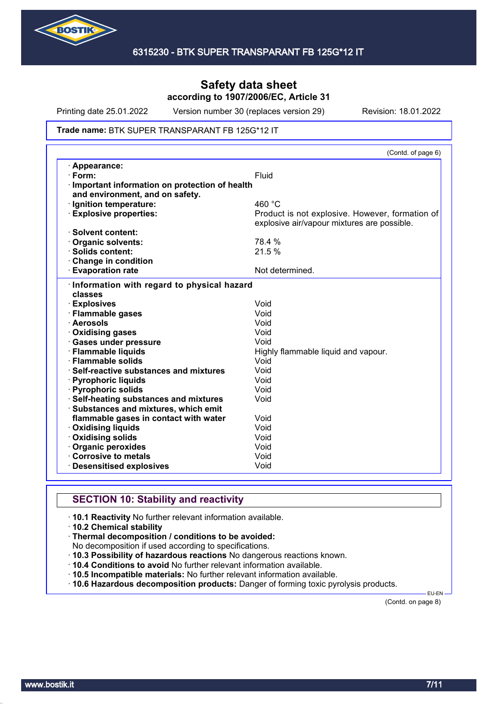

Printing date 25.01.2022 Version number 30 (replaces version 29) Revision: 18.01.2022

#### Trade name: BTK SUPER TRANSPARANT FB 125G\*12 IT

|                                               | (Contd. of page 6)                              |
|-----------------------------------------------|-------------------------------------------------|
| · Appearance:                                 |                                                 |
| $\cdot$ Form:                                 | Fluid                                           |
| Important information on protection of health |                                                 |
| and environment, and on safety.               |                                                 |
| · Ignition temperature:                       | 460 °C                                          |
| <b>Explosive properties:</b>                  | Product is not explosive. However, formation of |
|                                               | explosive air/vapour mixtures are possible.     |
| · Solvent content:                            |                                                 |
| <b>Organic solvents:</b>                      | 78.4 %                                          |
| · Solids content:                             | 21.5 %                                          |
| Change in condition                           |                                                 |
| <b>Evaporation rate</b>                       | Not determined.                                 |
| Information with regard to physical hazard    |                                                 |
| classes                                       |                                                 |
| · Explosives                                  | Void                                            |
| · Flammable gases                             | Void                                            |
| · Aerosols                                    | Void                                            |
| Oxidising gases                               | Void                                            |
| <b>Gases under pressure</b>                   | Void                                            |
| · Flammable liquids                           | Highly flammable liquid and vapour.             |
| · Flammable solids                            | Void                                            |
| $\cdot$ Self-reactive substances and mixtures | Void                                            |
| · Pyrophoric liquids                          | Void                                            |
| <b>Pyrophoric solids</b>                      | Void                                            |
| Self-heating substances and mixtures          | Void                                            |
| Substances and mixtures, which emit           |                                                 |
| flammable gases in contact with water         | Void                                            |
| <b>Oxidising liquids</b>                      | Void                                            |
| Oxidising solids                              | Void                                            |
| Organic peroxides                             | Void                                            |
| Corrosive to metals                           | Void                                            |
| <b>Desensitised explosives</b>                | Void                                            |

# **SECTION 10: Stability and reactivity**

· **10.1 Reactivity** No further relevant information available.

- · **10.2 Chemical stability**
- · **Thermal decomposition / conditions to be avoided:**

No decomposition if used according to specifications.

- · **10.3 Possibility of hazardous reactions** No dangerous reactions known.
- · **10.4 Conditions to avoid** No further relevant information available.
- · **10.5 Incompatible materials:** No further relevant information available.
- · **10.6 Hazardous decomposition products:** Danger of forming toxic pyrolysis products.

(Contd. on page 8)

EU-EN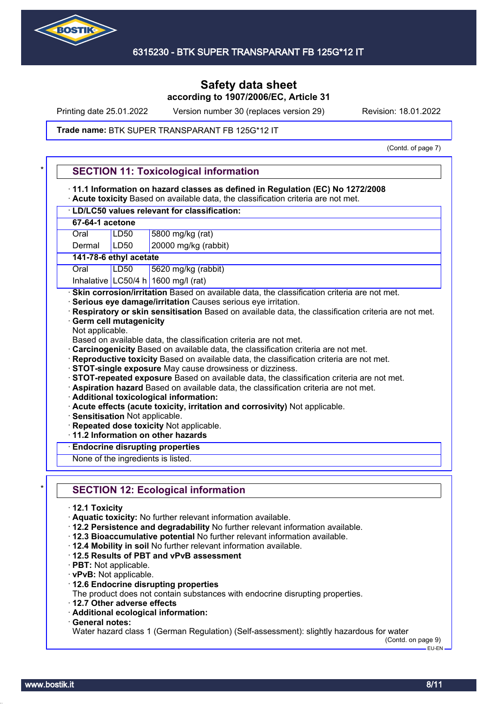

Printing date 25.01.2022 Version number 30 (replaces version 29) Revision: 18.01.2022

#### Trade name: BTK SUPER TRANSPARANT FB 125G\*12 IT

(Contd. of page 7)

| 11.1 Information on hazard classes as defined in Regulation (EC) No 1272/2008                                                            |                                                                                                     |  |
|------------------------------------------------------------------------------------------------------------------------------------------|-----------------------------------------------------------------------------------------------------|--|
| · Acute toxicity Based on available data, the classification criteria are not met.<br><b>LD/LC50 values relevant for classification:</b> |                                                                                                     |  |
| 67-64-1 acetone                                                                                                                          |                                                                                                     |  |
| LD50<br>5800 mg/kg (rat)<br>Oral                                                                                                         |                                                                                                     |  |
| Dermal                                                                                                                                   | LD50<br>20000 mg/kg (rabbit)                                                                        |  |
|                                                                                                                                          | 141-78-6 ethyl acetate                                                                              |  |
| Oral                                                                                                                                     | LD50<br>5620 mg/kg (rabbit)                                                                         |  |
|                                                                                                                                          | Inhalative LC50/4 h 1600 mg/l (rat)                                                                 |  |
|                                                                                                                                          |                                                                                                     |  |
|                                                                                                                                          | · Skin corrosion/irritation Based on available data, the classification criteria are not met.       |  |
|                                                                                                                                          | · Serious eye damage/irritation Causes serious eye irritation.                                      |  |
|                                                                                                                                          | Respiratory or skin sensitisation Based on available data, the classification criteria are not met. |  |
|                                                                                                                                          | <b>Germ cell mutagenicity</b>                                                                       |  |
| Not applicable.                                                                                                                          |                                                                                                     |  |
|                                                                                                                                          | Based on available data, the classification criteria are not met.                                   |  |
|                                                                                                                                          | Carcinogenicity Based on available data, the classification criteria are not met.                   |  |
|                                                                                                                                          |                                                                                                     |  |
|                                                                                                                                          | · Reproductive toxicity Based on available data, the classification criteria are not met.           |  |
|                                                                                                                                          | · STOT-single exposure May cause drowsiness or dizziness.                                           |  |
|                                                                                                                                          | · STOT-repeated exposure Based on available data, the classification criteria are not met.          |  |
|                                                                                                                                          | · Aspiration hazard Based on available data, the classification criteria are not met.               |  |
|                                                                                                                                          | · Additional toxicological information:                                                             |  |
| · Acute effects (acute toxicity, irritation and corrosivity) Not applicable.                                                             |                                                                                                     |  |
| · Sensitisation Not applicable.                                                                                                          |                                                                                                     |  |
|                                                                                                                                          |                                                                                                     |  |
|                                                                                                                                          |                                                                                                     |  |
|                                                                                                                                          | Repeated dose toxicity Not applicable.                                                              |  |
|                                                                                                                                          | $\cdot$ 11.2 Information on other hazards                                                           |  |
|                                                                                                                                          | <b>Endocrine disrupting properties</b>                                                              |  |
|                                                                                                                                          | None of the ingredients is listed.                                                                  |  |
|                                                                                                                                          |                                                                                                     |  |
|                                                                                                                                          | <b>SECTION 12: Ecological information</b>                                                           |  |
|                                                                                                                                          |                                                                                                     |  |
| $\cdot$ 12.1 Toxicity                                                                                                                    |                                                                                                     |  |
|                                                                                                                                          | · Aquatic toxicity: No further relevant information available.                                      |  |
|                                                                                                                                          | · 12.2 Persistence and degradability No further relevant information available.                     |  |
|                                                                                                                                          | · 12.3 Bioaccumulative potential No further relevant information available.                         |  |
|                                                                                                                                          | . 12.4 Mobility in soil No further relevant information available.                                  |  |
|                                                                                                                                          | 12.5 Results of PBT and vPvB assessment                                                             |  |
|                                                                                                                                          |                                                                                                     |  |
| · PBT: Not applicable.                                                                                                                   |                                                                                                     |  |
| · vPvB: Not applicable.                                                                                                                  |                                                                                                     |  |
|                                                                                                                                          | · 12.6 Endocrine disrupting properties                                                              |  |
|                                                                                                                                          | The product does not contain substances with endocrine disrupting properties.                       |  |
|                                                                                                                                          | 12.7 Other adverse effects                                                                          |  |
|                                                                                                                                          | · Additional ecological information:                                                                |  |
| General notes:                                                                                                                           |                                                                                                     |  |
|                                                                                                                                          | Water hazard class 1 (German Regulation) (Self-assessment): slightly hazardous for water            |  |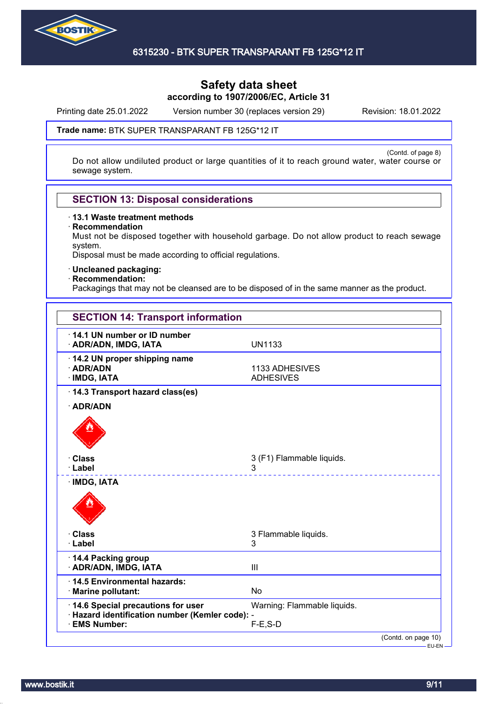

Printing date 25.01.2022 Version number 30 (replaces version 29) Revision: 18.01.2022

#### Trade name: BTK SUPER TRANSPARANT FB 125G\*12 IT

(Contd. of page 8) Do not allow undiluted product or large quantities of it to reach ground water, water course or sewage system.

# **SECTION 13: Disposal considerations**

· **13.1 Waste treatment methods**

· **Recommendation**

Must not be disposed together with household garbage. Do not allow product to reach sewage system.

Disposal must be made according to official regulations.

· **Uncleaned packaging:**

#### · **Recommendation:**

Packagings that may not be cleansed are to be disposed of in the same manner as the product.

| <b>SECTION 14: Transport information</b>                                                              |                                            |
|-------------------------------------------------------------------------------------------------------|--------------------------------------------|
| 14.1 UN number or ID number<br>· ADR/ADN, IMDG, IATA                                                  | <b>UN1133</b>                              |
| · 14.2 UN proper shipping name<br>· ADR/ADN<br>· IMDG, IATA                                           | 1133 ADHESIVES<br><b>ADHESIVES</b>         |
| · 14.3 Transport hazard class(es)<br>· ADR/ADN                                                        |                                            |
| · Class<br>· Label                                                                                    | 3 (F1) Flammable liquids.<br>3             |
| <b>IMDG, IATA</b>                                                                                     |                                            |
| <b>· Class</b><br>· Label                                                                             | 3 Flammable liquids.<br>3                  |
| 14.4 Packing group<br>· ADR/ADN, IMDG, IATA                                                           | III                                        |
| 14.5 Environmental hazards:<br>· Marine pollutant:                                                    | <b>No</b>                                  |
| 14.6 Special precautions for user<br>· Hazard identification number (Kemler code): -<br>· EMS Number: | Warning: Flammable liquids.<br>$F-E$ , S-D |
|                                                                                                       | (Contd. on page 10)<br>-EU-EN –            |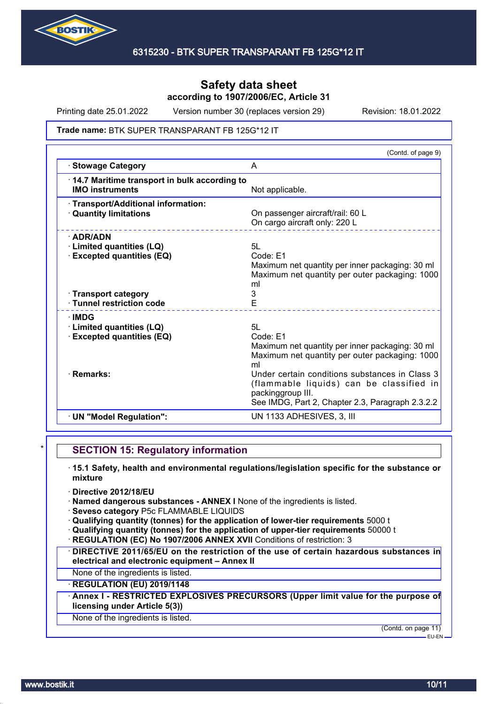

Printing date 25.01.2022 Version number 30 (replaces version 29) Revision: 18.01.2022

#### Trade name: BTK SUPER TRANSPARANT FB 125G\*12 IT

|                                                                                                         | (Contd. of page 9)                                                                                                                                                  |
|---------------------------------------------------------------------------------------------------------|---------------------------------------------------------------------------------------------------------------------------------------------------------------------|
| <b>Stowage Category</b>                                                                                 | A                                                                                                                                                                   |
| 14.7 Maritime transport in bulk according to<br><b>IMO instruments</b>                                  | Not applicable.                                                                                                                                                     |
| · Transport/Additional information:<br><b>Quantity limitations</b>                                      | On passenger aircraft/rail: 60 L<br>On cargo aircraft only: 220 L                                                                                                   |
| $\cdot$ ADR/ADN<br>· Limited quantities (LQ)<br><b>Excepted quantities (EQ)</b><br>· Transport category | 5L<br>Code: E1<br>Maximum net quantity per inner packaging: 30 ml<br>Maximum net quantity per outer packaging: 1000<br>ml<br>3                                      |
| · Tunnel restriction code                                                                               | E                                                                                                                                                                   |
| <b>∴IMDG</b><br>· Limited quantities (LQ)<br><b>Excepted quantities (EQ)</b>                            | 5L<br>Code: F1<br>Maximum net quantity per inner packaging: 30 ml<br>Maximum net quantity per outer packaging: 1000<br>ml                                           |
| · Remarks:                                                                                              | Under certain conditions substances in Class 3<br>(flammable liquids) can be classified in<br>packinggroup III.<br>See IMDG, Part 2, Chapter 2.3, Paragraph 2.3.2.2 |
| · UN "Model Regulation":                                                                                | UN 1133 ADHESIVES, 3, III                                                                                                                                           |
|                                                                                                         |                                                                                                                                                                     |

### **SECTION 15: Regulatory information**

- · **15.1 Safety, health and environmental regulations/legislation specific for the substance or mixture**
- · **Directive 2012/18/EU**
- · **Named dangerous substances ANNEX I** None of the ingredients is listed.
- · **Seveso category** P5c FLAMMABLE LIQUIDS
- · **Qualifying quantity (tonnes) for the application of lower-tier requirements** 5000 t
- · **Qualifying quantity (tonnes) for the application of upper-tier requirements** 50000 t
- **REGULATION (EC) No 1907/2006 ANNEX XVII Conditions of restriction: 3**
- · **DIRECTIVE 2011/65/EU on the restriction of the use of certain hazardous substances in electrical and electronic equipment – Annex II**
- None of the ingredients is listed.

### · **REGULATION (EU) 2019/1148**

· **Annex I - RESTRICTED EXPLOSIVES PRECURSORS (Upper limit value for the purpose of licensing under Article 5(3))**

#### None of the ingredients is listed.

(Contd. on page 11)

EU-EN